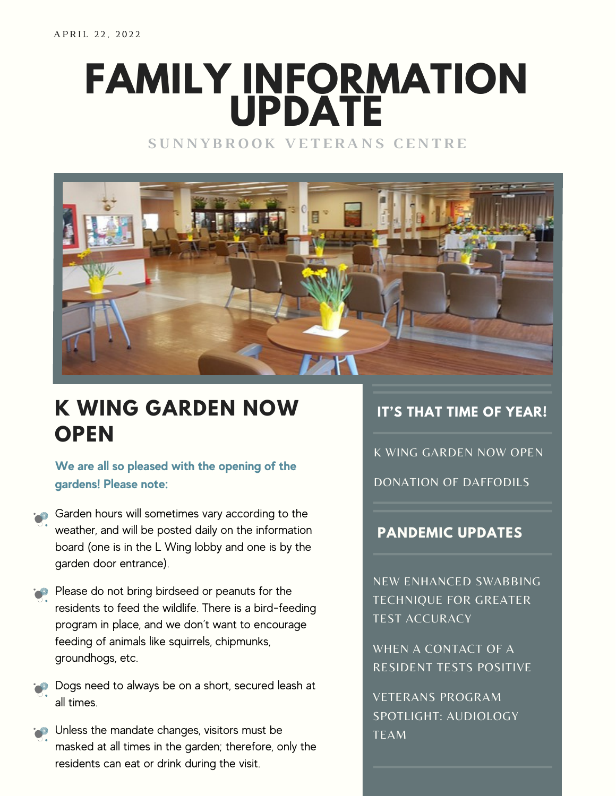# **FAMILY INFORMATION UPDATE**

**S U N N Y B R O O K V E T E R A N S C E N T R E**



## **K WING GARDEN NOW OPEN**

**We are all so pleased with the opening of the gardens! Please note:**

- Garden hours will sometimes vary according to the weather, and will be posted daily on the information board (one is in the L Wing lobby and one is by the garden door entrance).
- Please do not bring birdseed or peanuts for the residents to feed the wildlife. There is a bird-feeding program in place, and we don't want to encourage feeding of animals like squirrels, chipmunks, groundhogs, etc.
- Dogs need to always be on a short, secured leash at all times.
- **Unless the mandate changes, visitors must be** masked at all times in the garden; therefore, only the residents can eat or drink during the visit.

#### **IT'S THAT TIME OF YEAR!**

K WING GARDEN NOW OPEN

DONATION OF DAFFODILS

#### **PANDEMIC UPDATES**

NEW ENHANCED SWABBING TECHNIQUE FOR GREATER TEST ACCURACY

WHEN A CONTACT OF A RESIDENT TESTS POSITIVE

VETERANS PROGRAM SPOTLIGHT: AUDIOLOGY TEAM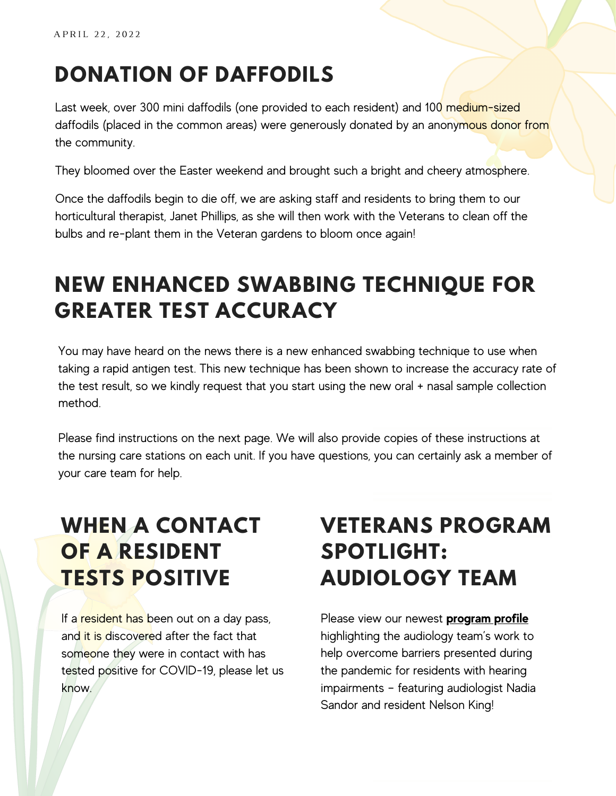# **DONATION OF DAFFODILS**

Last week, over 300 mini daffodils (one provided to each resident) and 100 medium-sized daffodils (placed in the common areas) were generously donated by an anonymous donor from the community.

They bloomed over the Easter weekend and brought such a bright and cheery atmosphere.

Once the daffodils begin to die off, we are asking staff and residents to bring them to our horticultural therapist, Janet Phillips, as she will then work with the Veterans to clean off the bulbs and re-plant them in the Veteran gardens to bloom once again!

# **NEW ENHANCED SWABBING TECHNIQUE FOR GREATER TEST ACCURACY**

You may have heard on the news there is a new enhanced swabbing technique to use when taking a rapid antigen test. This new technique has been shown to increase the accuracy rate of the test result, so we kindly request that you start using the new oral + nasal sample collection method.

Please find instructions on the next page. We will also provide copies of these instructions at the nursing care stations on each unit. If you have questions, you can certainly ask a member of your care team for help.

# **WHEN A CONTACT OF A RESIDENT TESTS POSITIVE**

If a resident has been out on a day pass, and it is discovered after the fact that someone they were in contact with has tested positive for COVID-19, please let us know.

## **VETERANS PROGRAM SPOTLIGHT: AUDIOLOGY TEAM**

Please view our newest **[program](https://sunnybrook.ca/media/?c=51) profile** highlighting the audiology team's work to help overcome barriers presented during the pandemic for residents with hearing impairments – featuring audiologist Nadia Sandor and resident Nelson King!